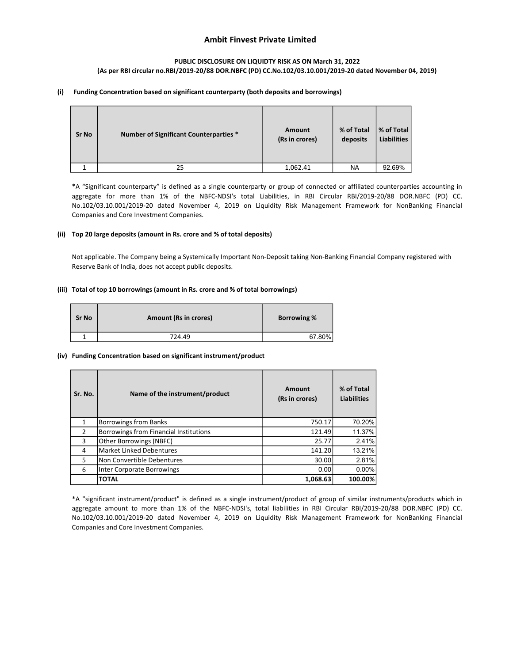# Ambit Finvest Private Limited

### PUBLIC DISCLOSURE ON LIQUIDTY RISK AS ON March 31, 2022 (As per RBI circular no.RBI/2019-20/88 DOR.NBFC (PD) CC.No.102/03.10.001/2019-20 dated November 04, 2019)

### (i) Funding Concentration based on significant counterparty (both deposits and borrowings)

| <b>Sr No</b> | <b>Number of Significant Counterparties *</b> | Amount<br>(Rs in crores) | % of Total<br>deposits | % of Total<br><b>Liabilities</b> |
|--------------|-----------------------------------------------|--------------------------|------------------------|----------------------------------|
|              | 25                                            | 1,062.41                 | <b>NA</b>              | 92.69%                           |

\*A "Significant counterparty" is defined as a single counterparty or group of connected or affiliated counterparties accounting in aggregate for more than 1% of the NBFC-NDSI's total Liabilities, in RBI Circular RBI/2019-20/88 DOR.NBFC (PD) CC. No.102/03.10.001/2019-20 dated November 4, 2019 on Liquidity Risk Management Framework for NonBanking Financial Companies and Core Investment Companies.

### (ii) Top 20 large deposits (amount in Rs. crore and % of total deposits)

Not applicable. The Company being a Systemically Important Non-Deposit taking Non-Banking Financial Company registered with Reserve Bank of India, does not accept public deposits.

### (iii) Total of top 10 borrowings (amount in Rs. crore and % of total borrowings)

| <b>Sr No</b> | <b>Amount (Rs in crores)</b> | <b>Borrowing %</b> |
|--------------|------------------------------|--------------------|
|              | 724.49                       | 67.80%             |

### (iv) Funding Concentration based on significant instrument/product

| Sr. No. | Name of the instrument/product         | Amount<br>(Rs in crores) | % of Total<br><b>Liabilities</b> |
|---------|----------------------------------------|--------------------------|----------------------------------|
| 1       | <b>Borrowings from Banks</b>           | 750.17                   | 70.20%                           |
| 2       | Borrowings from Financial Institutions | 121.49                   | 11.37%                           |
| 3       | Other Borrowings (NBFC)                | 25.77                    | 2.41%                            |
| 4       | <b>Market Linked Debentures</b>        | 141.20                   | 13.21%                           |
| 5       | Non Convertible Debentures             | 30.00                    | 2.81%                            |
| 6       | Inter Corporate Borrowings             | 0.00                     | $0.00\%$                         |
|         | <b>TOTAL</b>                           | 1,068.63                 | 100.00%                          |

\*A "significant instrument/product" is defined as a single instrument/product of group of similar instruments/products which in aggregate amount to more than 1% of the NBFC-NDSI's, total liabilities in RBI Circular RBI/2019-20/88 DOR.NBFC (PD) CC. No.102/03.10.001/2019-20 dated November 4, 2019 on Liquidity Risk Management Framework for NonBanking Financial Companies and Core Investment Companies.